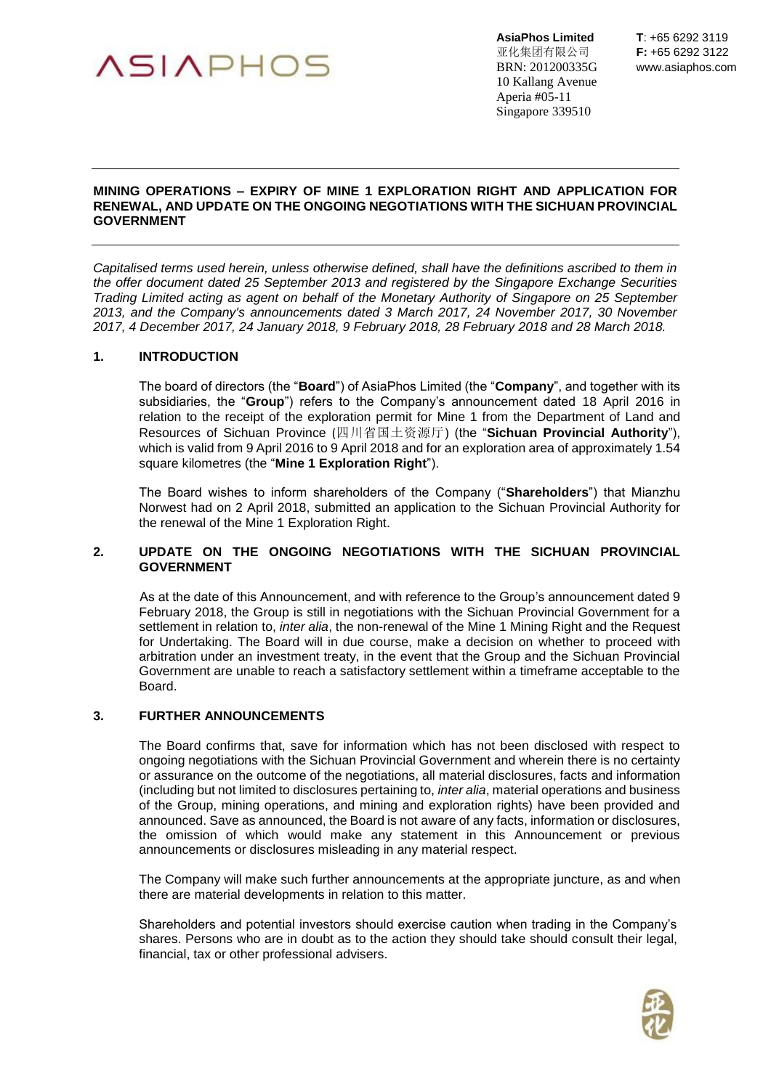

亚化集团有限公司 **F:** +65 6292 3122 BRN: 201200335G www.asiaphos.com 10 Kallang Avenue Aperia #05-11 Singapore 339510

## **MINING OPERATIONS – EXPIRY OF MINE 1 EXPLORATION RIGHT AND APPLICATION FOR RENEWAL, AND UPDATE ON THE ONGOING NEGOTIATIONS WITH THE SICHUAN PROVINCIAL GOVERNMENT**

*Capitalised terms used herein, unless otherwise defined, shall have the definitions ascribed to them in the offer document dated 25 September 2013 and registered by the Singapore Exchange Securities Trading Limited acting as agent on behalf of the Monetary Authority of Singapore on 25 September 2013, and the Company's announcements dated 3 March 2017, 24 November 2017, 30 November 2017, 4 December 2017, 24 January 2018, 9 February 2018, 28 February 2018 and 28 March 2018.*

## **1. INTRODUCTION**

The board of directors (the "**Board**") of AsiaPhos Limited (the "**Company**", and together with its subsidiaries, the "**Group**") refers to the Company's announcement dated 18 April 2016 in relation to the receipt of the exploration permit for Mine 1 from the Department of Land and Resources of Sichuan Province (四川省国土资源厅) (the "**Sichuan Provincial Authority**"), which is valid from 9 April 2016 to 9 April 2018 and for an exploration area of approximately 1.54 square kilometres (the "**Mine 1 Exploration Right**").

The Board wishes to inform shareholders of the Company ("**Shareholders**") that Mianzhu Norwest had on 2 April 2018, submitted an application to the Sichuan Provincial Authority for the renewal of the Mine 1 Exploration Right.

## **2. UPDATE ON THE ONGOING NEGOTIATIONS WITH THE SICHUAN PROVINCIAL GOVERNMENT**

As at the date of this Announcement, and with reference to the Group's announcement dated 9 February 2018, the Group is still in negotiations with the Sichuan Provincial Government for a settlement in relation to, *inter alia*, the non-renewal of the Mine 1 Mining Right and the Request for Undertaking. The Board will in due course, make a decision on whether to proceed with arbitration under an investment treaty, in the event that the Group and the Sichuan Provincial Government are unable to reach a satisfactory settlement within a timeframe acceptable to the Board.

## **3. FURTHER ANNOUNCEMENTS**

The Board confirms that, save for information which has not been disclosed with respect to ongoing negotiations with the Sichuan Provincial Government and wherein there is no certainty or assurance on the outcome of the negotiations, all material disclosures, facts and information (including but not limited to disclosures pertaining to, *inter alia*, material operations and business of the Group, mining operations, and mining and exploration rights) have been provided and announced. Save as announced, the Board is not aware of any facts, information or disclosures, the omission of which would make any statement in this Announcement or previous announcements or disclosures misleading in any material respect.

The Company will make such further announcements at the appropriate juncture, as and when there are material developments in relation to this matter.

Shareholders and potential investors should exercise caution when trading in the Company's shares. Persons who are in doubt as to the action they should take should consult their legal, financial, tax or other professional advisers.